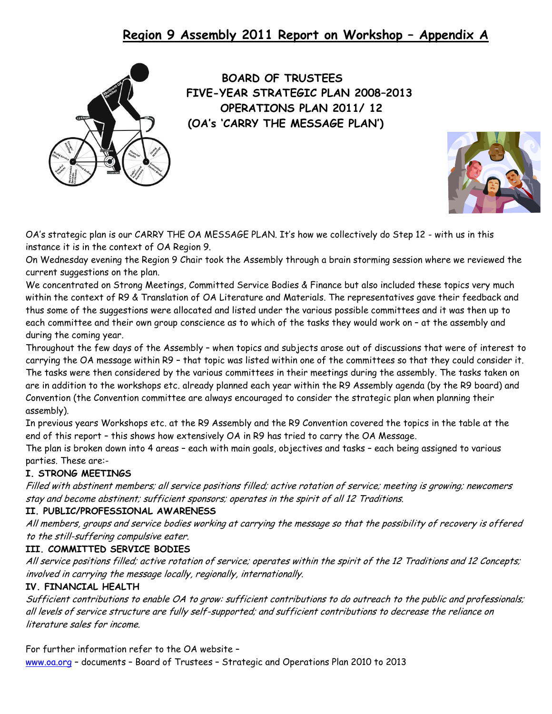# **Region 9 Assembly 2011 Report on Workshop – Appendix A**



 **BOARD OF TRUSTEES FIVE-YEAR STRATEGIC PLAN 2008–2013 OPERATIONS PLAN 2011/ 12 (OA's 'CARRY THE MESSAGE PLAN')**



OA's strategic plan is our CARRY THE OA MESSAGE PLAN. It's how we collectively do Step 12 - with us in this instance it is in the context of OA Region 9.

On Wednesday evening the Region 9 Chair took the Assembly through a brain storming session where we reviewed the current suggestions on the plan.

We concentrated on Strong Meetings, Committed Service Bodies & Finance but also included these topics very much within the context of R9 & Translation of OA Literature and Materials. The representatives gave their feedback and thus some of the suggestions were allocated and listed under the various possible committees and it was then up to each committee and their own group conscience as to which of the tasks they would work on – at the assembly and during the coming year.

Throughout the few days of the Assembly – when topics and subjects arose out of discussions that were of interest to carrying the OA message within R9 – that topic was listed within one of the committees so that they could consider it. The tasks were then considered by the various committees in their meetings during the assembly. The tasks taken on are in addition to the workshops etc. already planned each year within the R9 Assembly agenda (by the R9 board) and Convention (the Convention committee are always encouraged to consider the strategic plan when planning their assembly).

In previous years Workshops etc. at the R9 Assembly and the R9 Convention covered the topics in the table at the end of this report – this shows how extensively OA in R9 has tried to carry the OA Message.

The plan is broken down into 4 areas – each with main goals, objectives and tasks – each being assigned to various parties. These are:-

### **I. STRONG MEETINGS**

Filled with abstinent members; all service positions filled; active rotation of service; meeting is growing; newcomers stay and become abstinent; sufficient sponsors; operates in the spirit of all 12 Traditions.

### **II. PUBLIC/PROFESSIONAL AWARENESS**

All members, groups and service bodies working at carrying the message so that the possibility of recovery is offered to the still-suffering compulsive eater.

### **III. COMMITTED SERVICE BODIES**

All service positions filled; active rotation of service; operates within the spirit of the 12 Traditions and 12 Concepts; involved in carrying the message locally, regionally, internationally.

#### **IV. FINANCIAL HEALTH**

Sufficient contributions to enable OA to grow: sufficient contributions to do outreach to the public and professionals; all levels of service structure are fully self-supported; and sufficient contributions to decrease the reliance on literature sales for income.

For further information refer to the OA website –

[www.oa.org](http://www.oa.org/) – documents – Board of Trustees – Strategic and Operations Plan 2010 to 2013